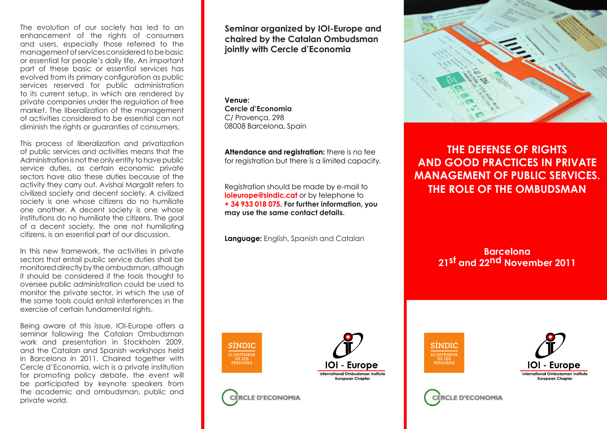The evolution of our society has led to an enhancement of the rights of consumers and users, especially those referred to the management of services considered to be basic or essential for people's daily life. An important part of these basic or essential services has evolved from its primary configuration as public services reserved for public administration to its current setup, in which are rendered by private companies under the regulation of free market. The liberalization of the management of activities considered to be essential can not diminish the rights or guaranties of consumers.

This process of liberalization and privatization of public services and activities means that the Administration is not the only entity to have public service duties, as certain economic private sectors have also these duties because of the activity they carry out. Avishai Margalit refers to civilized society and decent society. A civilized society is one whose citizens do no humiliate one another. A decent society is one whose institutions do no humiliate the citizens. The goal of a decent society, the one not humiliating citizens, is an essential part of our discussion.

In this new framework, the activities in private sectors that entail public service duties shall be monitored directly by the ombudsman, although it should be considered if the tools thought to oversee public administration could be used to monitor the private sector, in which the use of the same tools could entail interferences in the exercise of certain fundamental rights.

Being aware of this issue, IOI-Europe offers a seminar following the Catalan Ombudsman work and presentation in Stockholm 2009, and the Catalan and Spanish workshops held in Barcelona in 2011. Chaired together with Cercle d'Economia, wich is a private institution for promoting policy debate, the event will be participated by keynote speakers from the academic and ombudsman, public and private world.

**Seminar organized by IOI-Europe and chaired by the Catalan Ombudsman jointly with Cercle d'Economia** 

**Venue: Cercle d'Economia** C/ Provença, 298 08008 Barcelona, Spain

**Attendance and registration:** there is no fee for registration but there is a limited capacity.

Registration should be made by e-mail to **ioieurope@sindic.cat** or by telephone to **+ 34 933 018 075. For further information, you may use the same contact details.**

**Language:** English, Spanish and Catalan



**THE DEFENSE OF RIGHTS AND GOOD PRACTICES IN PRIVATE MANAGEMENT OF PUBLIC SERVICES. THE ROLE OF THE OMBUDSMAN**

> **Barcelona 21st and 22nd November 2011**



E D'ECONOMIA







E D'ECONOMIA